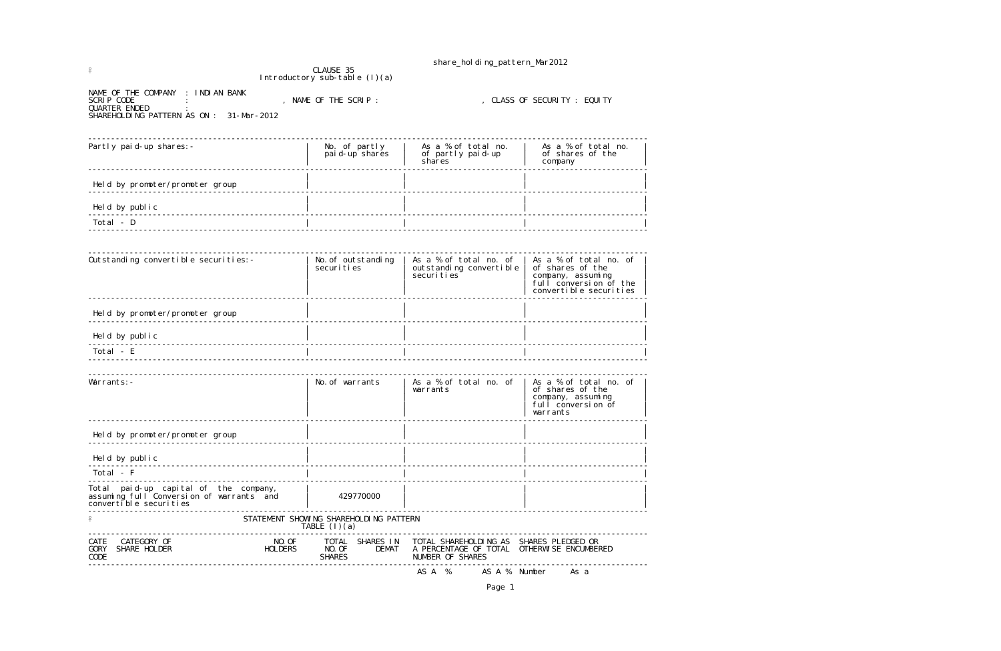share\_holding\_pattern\_Mar2012

 $\frac{6}{7}$ Introductory sub-table (I)(a)

NAME OF THE COMPANY : INDIAN BANK SCRIP CODE : , NAME OF THE SCRIP : , CLASS OF SECURITY : EQUITY QUARTER ENDED : SHAREHOLDING PATTERN AS ON : 31-Mar-2012

| Partly paid-up shares: -        | No. of partly<br>pai d-up shares | As a % of total no.<br>of partly paid-up<br>shares | As a % of total no.<br>of shares of the<br>company |  |
|---------------------------------|----------------------------------|----------------------------------------------------|----------------------------------------------------|--|
| Held by promoter/promoter group |                                  |                                                    |                                                    |  |
| Held by public                  |                                  |                                                    |                                                    |  |
| Total - D                       |                                  |                                                    |                                                    |  |
|                                 |                                  |                                                    |                                                    |  |

| Outstanding convertible securities: -                                                                       | No. of outstanding<br>securi ti es                         | As a % of total no. of<br>outstanding convertible<br>securities                                           | As a % of total no. of<br>of shares of the<br>company, assuming<br>full conversion of the<br>convertible securities |
|-------------------------------------------------------------------------------------------------------------|------------------------------------------------------------|-----------------------------------------------------------------------------------------------------------|---------------------------------------------------------------------------------------------------------------------|
| Held by promoter/promoter group                                                                             |                                                            |                                                                                                           |                                                                                                                     |
| Held by public                                                                                              |                                                            |                                                                                                           |                                                                                                                     |
| Total - E                                                                                                   |                                                            |                                                                                                           |                                                                                                                     |
|                                                                                                             |                                                            |                                                                                                           |                                                                                                                     |
| Warrants: -                                                                                                 | No. of warrants                                            | As a % of total no. of<br>warrants                                                                        | As a % of total no. of<br>of shares of the<br>company, assuming<br>full conversion of<br>warrants                   |
| Held by promoter/promoter group                                                                             |                                                            |                                                                                                           |                                                                                                                     |
| Held by public                                                                                              |                                                            |                                                                                                           |                                                                                                                     |
| Total - F                                                                                                   |                                                            |                                                                                                           |                                                                                                                     |
| Total paid-up capital of the company,<br>assuming full Conversion of warrants and<br>convertible securities | 429770000                                                  |                                                                                                           |                                                                                                                     |
|                                                                                                             | STATEMENT SHOWING SHAREHOLDING PATTERN<br>TABLE $(1)(a)$   |                                                                                                           |                                                                                                                     |
| NO. OF<br>CATEGORY OF<br>CATE<br>SHARE HOLDER<br><b>HOLDERS</b><br><b>GORY</b><br>CODE                      | TOTAL SHARES IN<br>NO. OF<br><b>DEMAT</b><br><b>SHARES</b> | TOTAL SHAREHOLDING AS SHARES PLEDGED OR<br>A PERCENTAGE OF TOTAL OTHERWISE ENCUMBERED<br>NUMBER OF SHARES |                                                                                                                     |
|                                                                                                             |                                                            | AS A %<br>AS A % Number                                                                                   | As a                                                                                                                |

Page 1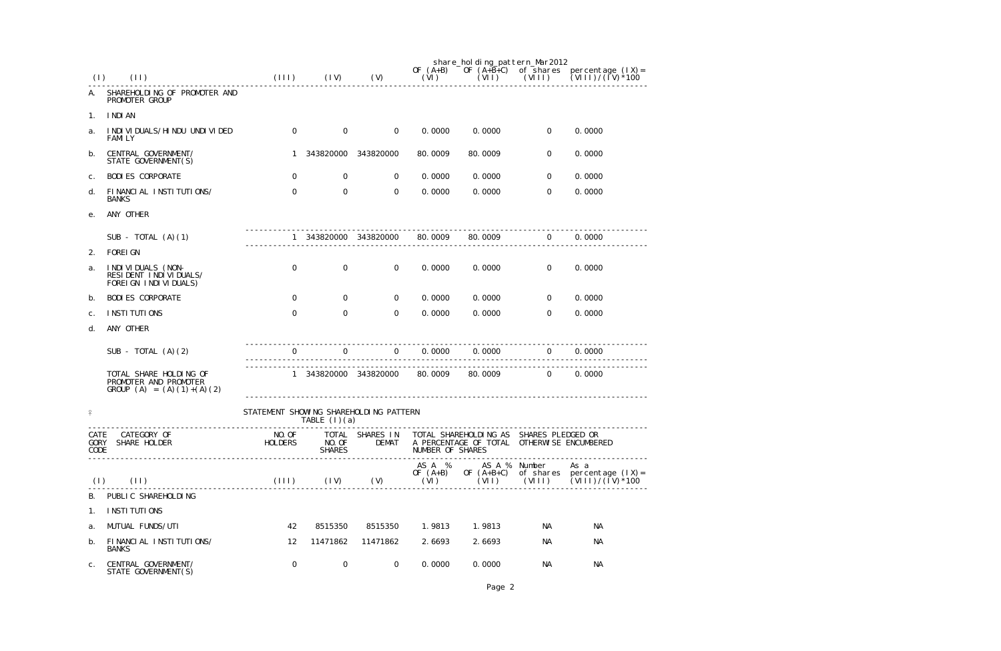| (1)                  | (11)                                                                               | (111)                                  | (IV)                    | (V)                 | OF $(A+B)$<br>(VI)           | share_holding_pattern_Mar2012<br>OF $(A+B+C)$<br>(VII)                                                | (VIII)         | of shares percentage $(IX) =$<br>$(VIII)/(IV)^*100$                          |
|----------------------|------------------------------------------------------------------------------------|----------------------------------------|-------------------------|---------------------|------------------------------|-------------------------------------------------------------------------------------------------------|----------------|------------------------------------------------------------------------------|
| А.                   | SHAREHOLDING OF PROMOTER AND<br>PROMOTER GROUP                                     |                                        |                         |                     |                              |                                                                                                       |                |                                                                              |
| 1 <sub>1</sub>       | I NDI AN                                                                           |                                        |                         |                     |                              |                                                                                                       |                |                                                                              |
| a.                   | I NDI VI DUALS/HI NDU UNDI VI DED<br><b>FAMILY</b>                                 | $\overline{O}$                         | $\overline{0}$          | $\overline{0}$      | 0.0000                       | 0.0000                                                                                                | $\mathbf 0$    | 0.0000                                                                       |
| b.                   | CENTRAL GOVERNMENT/<br>STATE GOVERNMENT(S)                                         |                                        | 343820000               | 343820000           | 80.0009                      | 80.0009                                                                                               | $\mathbf 0$    | 0.0000                                                                       |
| $C$ .                | <b>BODI ES CORPORATE</b>                                                           | $\overline{0}$                         | $\overline{0}$          | 0                   | 0.0000                       | 0.0000                                                                                                | $\overline{0}$ | 0.0000                                                                       |
| d.                   | FINANCIAL INSTITUTIONS/<br><b>BANKS</b>                                            | 0                                      | $\mathbf 0$             | 0                   | 0.0000                       | 0.0000                                                                                                | $\Omega$       | 0.0000                                                                       |
| е.                   | ANY OTHER                                                                          |                                        |                         |                     |                              |                                                                                                       |                |                                                                              |
|                      | SUB - TOTAL $(A)(1)$                                                               |                                        | 343820000               | 343820000           | 80.0009                      | 80.0009                                                                                               | 0              | 0.0000                                                                       |
| 2.                   | <b>FOREI GN</b>                                                                    |                                        |                         |                     |                              |                                                                                                       |                |                                                                              |
| a.                   | I NDI VI DUALS (NON-<br>RESIDENT INDIVIDUALS/<br>FOREI GN INDIVIDUALS)             | $\mathbf 0$                            | $\overline{0}$          | $\mathbf 0$         | 0.0000                       | 0.0000                                                                                                | $\overline{0}$ | 0.0000                                                                       |
| b.                   | <b>BODI ES CORPORATE</b>                                                           | $\overline{0}$                         | $\overline{0}$          | $\overline{0}$      | 0.0000                       | 0.0000                                                                                                | $\overline{0}$ | 0.0000                                                                       |
| C.                   | I NSTI TUTI ONS                                                                    | 0                                      | $\mathbf 0$             | $\mathbf 0$         | 0.0000                       | 0.0000                                                                                                | $\Omega$       | 0.0000                                                                       |
| d.                   | ANY OTHER                                                                          |                                        |                         |                     |                              |                                                                                                       |                |                                                                              |
|                      | SUB - TOTAL $(A)(2)$                                                               | 0                                      | $\mathbf 0$             | $\overline{0}$      | 0.0000                       | 0.0000                                                                                                | $\overline{0}$ | 0.0000                                                                       |
|                      | TOTAL SHARE HOLDING OF<br>PROMOTER AND PROMOTER<br>GROUP $(A) = (A) (1) + (A) (2)$ | $\mathbf{1}$                           |                         | 343820000 343820000 | 80.0009                      | 80.0009                                                                                               | 0              | 0.0000                                                                       |
| $\frac{9}{5}$        |                                                                                    | STATEMENT SHOWING SHAREHOLDING PATTERN | TABLE $(1)(a)$          |                     |                              |                                                                                                       |                |                                                                              |
| CATE<br>GORY<br>CODE | ---------------<br>CATEGORY OF<br>SHARE HOLDER<br>______________________________   | NO. OF<br>HOLDERS                      | NO. OF<br><b>SHARES</b> | <b>DEMAT</b>        | NUMBER OF SHARES             | TOTAL SHARES IN TOTAL SHAREHOLDING AS SHARES PLEDGED OR<br>A PERCENTAGE OF TOTAL OTHERWISE ENCUMBERED |                |                                                                              |
| (1)                  | (11)                                                                               | $(111)$ $(1V)$ $(V)$                   |                         |                     | AS A %<br>OF $(A+B)$<br>(VI) | OF $(A+B+C)$<br>(VII)                                                                                 | AS A % Number  | As a<br>of shares percentage $(IX) =$<br>$(VIII)$ $(VIII)/(\tilde{I}V)^*100$ |
| В.                   | PUBLIC SHAREHOLDING                                                                |                                        |                         |                     |                              |                                                                                                       |                |                                                                              |
| 1.                   | I NSTI TUTI ONS                                                                    |                                        |                         |                     |                              |                                                                                                       |                |                                                                              |
| a.                   | MUTUAL FUNDS/UTI                                                                   | 42                                     | 8515350                 | 8515350             | 1.9813                       | 1.9813                                                                                                | NА             | <b>NA</b>                                                                    |
| b.                   | FINANCIAL INSTITUTIONS/<br><b>BANKS</b>                                            | 12                                     | 11471862                | 11471862            | 2.6693                       | 2.6693                                                                                                | NA.            | <b>NA</b>                                                                    |
| $\mathsf{C}.$        | CENTRAL GOVERNMENT/<br>STATE GOVERNMENT(S)                                         | 0                                      | $\overline{0}$          | $\overline{0}$      | 0.0000                       | 0.0000                                                                                                | NА             | <b>NA</b>                                                                    |

Page 2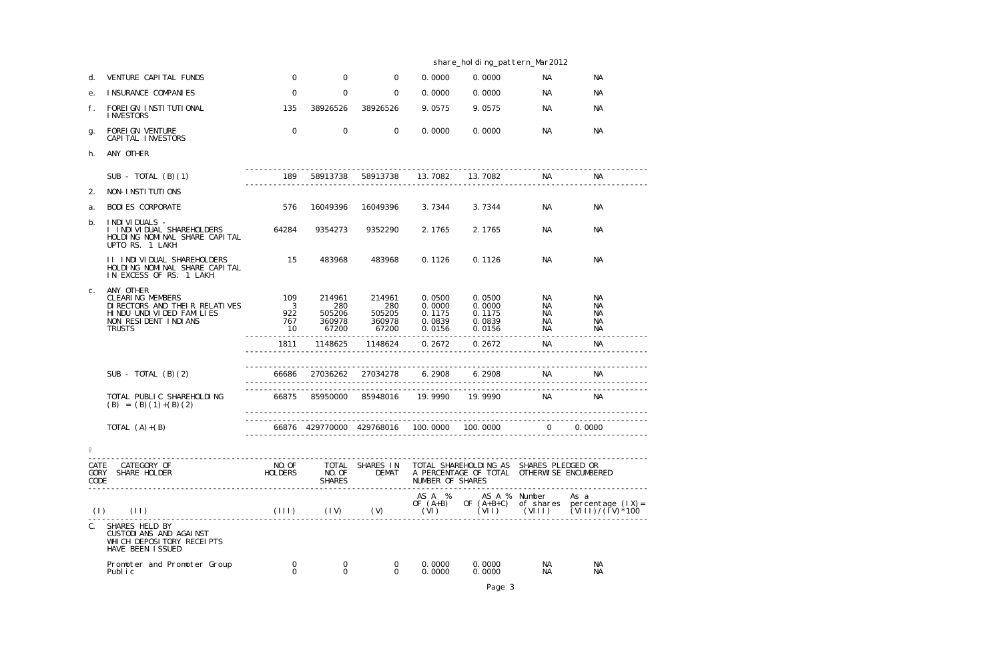|                             |                                                                                                                                                  |                                                    |                                            |                                            | share_holding_pattern_Mar2012                  |                                                                                             |                             |                                                                                                                             |  |  |
|-----------------------------|--------------------------------------------------------------------------------------------------------------------------------------------------|----------------------------------------------------|--------------------------------------------|--------------------------------------------|------------------------------------------------|---------------------------------------------------------------------------------------------|-----------------------------|-----------------------------------------------------------------------------------------------------------------------------|--|--|
| d.                          | VENTURE CAPITAL FUNDS                                                                                                                            | $\mathbf 0$                                        | $\mathbf 0$                                | $\overline{O}$                             | 0.0000                                         | 0.0000                                                                                      | NA                          | NA                                                                                                                          |  |  |
| е.                          | I NSURANCE COMPANIES                                                                                                                             | $\mathbf 0$                                        | $\mathbf 0$                                | 0                                          | 0.0000                                         | 0.0000                                                                                      | NА                          | <b>NA</b>                                                                                                                   |  |  |
| f.                          | FOREI GN INSTITUTIONAL<br><b>INVESTORS</b>                                                                                                       | 135                                                | 38926526                                   | 38926526                                   | 9.0575                                         | 9.0575                                                                                      | NA                          | <b>NA</b>                                                                                                                   |  |  |
| g.                          | FOREI GN VENTURE<br>CAPI TAL INVESTORS                                                                                                           | $\mathbf 0$                                        | $\mathbf 0$                                | $\overline{0}$                             | 0.0000                                         | 0.0000                                                                                      | NA                          | <b>NA</b>                                                                                                                   |  |  |
| h.                          | ANY OTHER                                                                                                                                        |                                                    |                                            |                                            |                                                |                                                                                             |                             |                                                                                                                             |  |  |
|                             | SUB - TOTAL $(B)(1)$                                                                                                                             | 189                                                | 58913738                                   | 58913738                                   | 13.7082                                        | 13.7082                                                                                     | NА                          | <b>NA</b>                                                                                                                   |  |  |
| 2.                          | NON-INSTITUTIONS                                                                                                                                 |                                                    |                                            |                                            |                                                |                                                                                             |                             |                                                                                                                             |  |  |
| a.                          | <b>BODI ES CORPORATE</b>                                                                                                                         | 576                                                | 16049396                                   | 16049396                                   | 3.7344                                         | 3.7344                                                                                      | NA                          | NА                                                                                                                          |  |  |
| b.                          | I NDI VI DUALS -<br>I INDIVIDUAL SHAREHOLDERS<br>HOLDING NOMINAL SHARE CAPITAL<br>UPTO RS. 1 LAKH                                                | 64284                                              | 9354273                                    | 9352290                                    | 2.1765                                         | 2.1765                                                                                      | NА                          | <b>NA</b>                                                                                                                   |  |  |
|                             | <b>II INDIVIDUAL SHAREHOLDERS</b><br>HOLDING NOMINAL SHARE CAPITAL<br>IN EXCESS OF RS. 1 LAKH                                                    | 15                                                 | 483968                                     | 483968                                     | 0.1126                                         | 0.1126                                                                                      | NА                          | <b>NA</b>                                                                                                                   |  |  |
| $C$ .                       | ANY OTHER<br><b>CLEARING MEMBERS</b><br>DI RECTORS AND THEIR RELATIVES<br>HI NDU UNDI VI DED FAMI LI ES<br>NON RESIDENT INDIANS<br><b>TRUSTS</b> | 109<br>$\overline{\mathbf{3}}$<br>922<br>767<br>10 | 214961<br>280<br>505206<br>360978<br>67200 | 214961<br>280<br>505205<br>360978<br>67200 | 0.0500<br>0.0000<br>0.1175<br>0.0839<br>0.0156 | 0.0500<br>0.0000<br>0.1175<br>0.0839<br>0.0156                                              | NA<br>NA<br>NA.<br>NА<br>NА | NА<br><b>NA</b><br><b>NA</b><br><b>NA</b><br><b>NA</b>                                                                      |  |  |
|                             |                                                                                                                                                  | 1811                                               | 1148625                                    | 1148624                                    | 0.2672                                         | 0.2672                                                                                      | NА                          | <b>NA</b>                                                                                                                   |  |  |
|                             |                                                                                                                                                  |                                                    |                                            |                                            |                                                |                                                                                             |                             |                                                                                                                             |  |  |
|                             | SUB - TOTAL $(B)(2)$                                                                                                                             | 66686                                              | 27036262                                   | 27034278                                   | 6.2908                                         | 6.2908                                                                                      | NA                          | ΝA                                                                                                                          |  |  |
|                             | TOTAL PUBLIC SHAREHOLDING<br>$(B) = (B) (1) + (B) (2)$                                                                                           | 66875                                              | 85950000                                   | 85948016                                   | 19.9990                                        | 19.9990                                                                                     | NA                          | <b>NA</b>                                                                                                                   |  |  |
|                             | TOTAL $(A)+(B)$                                                                                                                                  |                                                    |                                            |                                            |                                                | 66876  429770000  429768016  100.0000  100.0000                                             | $\overline{0}$              | 0.0000                                                                                                                      |  |  |
| $\frac{1}{2}$               |                                                                                                                                                  |                                                    |                                            |                                            |                                                |                                                                                             |                             |                                                                                                                             |  |  |
| CATE<br><b>GORY</b><br>CODE | CATEGORY OF<br>SHARE HOLDER<br>-----------------------------                                                                                     | NO. OF<br><b>HOLDERS</b>                           | TOTAL<br>NO. OF<br><b>SHARES</b>           | SHARES IN                                  | NUMBER OF SHARES                               | TOTAL SHAREHOLDING AS SHARES PLEDGED OR<br>DEMAT A PERCENTAGE OF TOTAL OTHERWISE ENCUMBERED |                             |                                                                                                                             |  |  |
| (1)                         | (11)                                                                                                                                             |                                                    | $(111)$ $(11)$ $(11)$ $(11)$               |                                            | AS A %                                         | AS A % Number<br>OF $(A+B)$ OF $(A+B+C)$                                                    |                             | As a<br>of shares percentage $(1x) =$<br>$(VI)$ $(VII)$ $(VIII)$ $(VIII)$ $(VIII)$ $(VIII)$ $(VIII)$ $(VIII)$ $(IV)$ $*100$ |  |  |
| $C_{\cdot}$                 | SHARES HELD BY<br>CUSTODI ANS AND AGAINST<br>WHI CH DEPOSI TORY RECEI PTS<br>HAVE BEEN ISSUED                                                    |                                                    |                                            |                                            |                                                |                                                                                             |                             |                                                                                                                             |  |  |
|                             | Promoter and Promoter Group<br>Publ i c                                                                                                          | 0<br>$\Omega$                                      | 0<br>$\Omega$                              | $\overline{0}$<br>$\Omega$                 | 0.0000<br>0.0000                               | 0.0000<br>0.0000                                                                            | NA<br>NA                    | NА<br>NА                                                                                                                    |  |  |

Page 3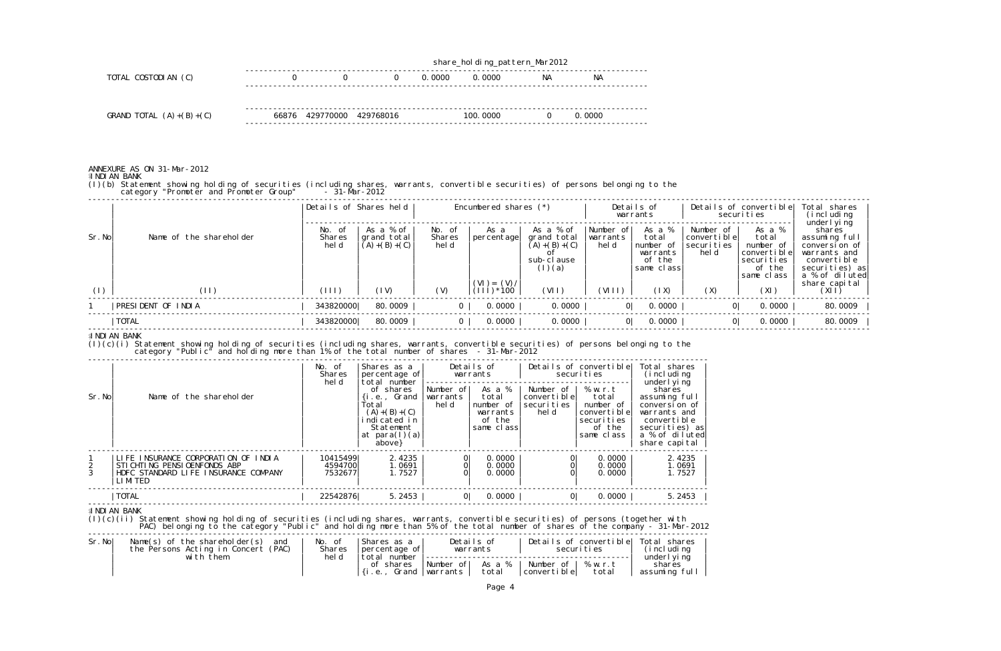|                           |                           | share_holding_pattern_Mar2012 |  |        |           |    |           |  |  |  |
|---------------------------|---------------------------|-------------------------------|--|--------|-----------|----|-----------|--|--|--|
| TOTAL COSTODIAN (C)       |                           | 0                             |  | 0.0000 | 0.0000    | NА | <b>NA</b> |  |  |  |
|                           |                           |                               |  |        |           |    |           |  |  |  |
|                           |                           |                               |  |        |           |    |           |  |  |  |
| GRAND TOTAL $(A)+(B)+(C)$ | 66876 429770000 429768016 |                               |  |        | 100, 0000 |    | 0.0000    |  |  |  |
|                           |                           |                               |  |        |           |    |           |  |  |  |

## ANNEXURE AS ON 31-Mar-2012

워 NDI AN BANK

(I)(b) Statement showing holding of securities (including shares, warrants, convertible securities) of persons belonging to the category "Promoter and Promoter Group" - 31-Mar-2012

|        |                         | Details of Shares held         |                                               | Encumbered shares $(*)$   |                               |                                                                       | Details of<br>warrants         |                                                                  | Details of convertible<br>securities                |                                                                                   | Total shares<br>(i ncl udi ng<br>underl yi ng                                                               |
|--------|-------------------------|--------------------------------|-----------------------------------------------|---------------------------|-------------------------------|-----------------------------------------------------------------------|--------------------------------|------------------------------------------------------------------|-----------------------------------------------------|-----------------------------------------------------------------------------------|-------------------------------------------------------------------------------------------------------------|
| Sr. No | Name of the shareholder | No.<br>- of<br>Shares<br>hel d | As a % of<br>grand total<br>$(A) + (B) + (C)$ | No. of<br>Shares<br>hel d | As a<br> percentage           | As a % of<br>grand total<br>$(A) + (B) + (C)$<br>sub-clause<br>(1)(a) | Number of<br>warrants<br>hel d | As a %<br>total<br>number of<br>warrants<br>of the<br>same class | Number of<br>lconvertible<br>Isecuri ti es<br>hel d | As a %<br>total<br>number of<br>convertible<br>securities<br>of the<br>same class | shares<br>assuming full<br>conversion of<br>warrants and<br>convertible<br>securities) as<br>a % of diluted |
| (1)    | (11)                    | (111)                          | (1V)                                          | (V)                       | $(VI) = (V) /$<br>$(111)*100$ | (VII)                                                                 | (VIII)                         | (1X)                                                             | (X)                                                 | (XI)                                                                              | share capital<br>(X I)                                                                                      |
|        | PRESIDENT OF INDIA      | 343820000                      | 80.0009                                       | $\overline{0}$            | 0.0000                        | 0.0000                                                                | 0                              | 0.0000                                                           | 0                                                   | 0.0000                                                                            | 80.0009                                                                                                     |
|        | TOTAL                   | 343820000                      | 80.0009                                       | $\overline{0}$            | 0.0000                        | 0.0000                                                                | 0 <sup>1</sup>                 | 0.0000                                                           | 0                                                   | 0.0000                                                                            | 80.0009                                                                                                     |

## **INDIAN BANK**

(I)(c)(i) Statement showing holding of securities (including shares, warrants, convertible securities) of persons belonging to the category "Public" and holding more than 1% of the total number of shares - 31-Mar-2012

| Sr. No | Name of the shareholder                                                                                                            | No. of<br><b>Shares</b><br>hel d           | Shares as a<br>percentage of<br>ltotal number<br>of shares<br>$\{i.e.,$ Grand<br>Total<br>$(A) + (B) + (C)$<br>indicated in<br>Statement<br>at para(l)(a) | Number ofl<br>warrants<br>hel d | Details of<br>warrants<br>As a %<br>total<br>number of<br>warrants<br>of the<br>same class | Number of  <br> convertible <br>'securi ti es<br>hel d | Details of convertible<br>securi ti es<br>% w.r.t<br>total<br>number of<br>convertible<br>securities<br>of the<br>same class | Total shares<br>(i ncl udi ng<br>underl yi ng<br>shares<br>assuming full<br>conversion of<br>warrants and<br>convertible<br>securities) as<br>a % of diluted |
|--------|------------------------------------------------------------------------------------------------------------------------------------|--------------------------------------------|-----------------------------------------------------------------------------------------------------------------------------------------------------------|---------------------------------|--------------------------------------------------------------------------------------------|--------------------------------------------------------|------------------------------------------------------------------------------------------------------------------------------|--------------------------------------------------------------------------------------------------------------------------------------------------------------|
| 3      | LIFE INSURANCE CORPORATION OF INDIA<br>STICHTING PENSIOENFONDS ABP<br>HDFC STANDARD LIFE INSURANCE COMPANY<br>LI MI TED<br>  TOTAL | 10415499<br>4594700<br>7532677<br>22542876 | above}<br>2.4235<br>1.0691<br>1.7527<br>5.2453                                                                                                            | $\overline{O}$<br>0<br> 0       | 0.0000<br>0.0000<br>0.0000<br>0.0000                                                       | 0<br> 0                                                | 0.0000<br>0.0000<br>0.0000<br>0.0000                                                                                         | share capital<br>2.4235<br>1.0691<br>1.7527<br>5.2453                                                                                                        |

**INDIAN BANK** 

(I)(c)(ii) Statement showing holding of securities (including shares, warrants, convertible securities) of persons (together with PAC) belonging to the category "Public" and holding more than 5% of the total number of shares of the company - 31-Mar-2012

| Sr.No | Name(s) of the shareholder(s) and<br>the Persons Acting in Concert (PAC)<br>with them | No. of<br><b>Shares</b><br>hel d | IShares as a<br>Ipercentage ofl<br>total<br>number | Details of<br>warrants                       | Details of convertible   Total shares<br>securi ti es | i ncl udi ng)<br>underl yi ng |
|-------|---------------------------------------------------------------------------------------|----------------------------------|----------------------------------------------------|----------------------------------------------|-------------------------------------------------------|-------------------------------|
|       |                                                                                       |                                  | of shares<br>1.0.1                                 | Number of As a %<br>total<br>Grand  warrants | 'Number of I % w.r.t<br>convertiblel<br>total         | shares<br>assuming full       |

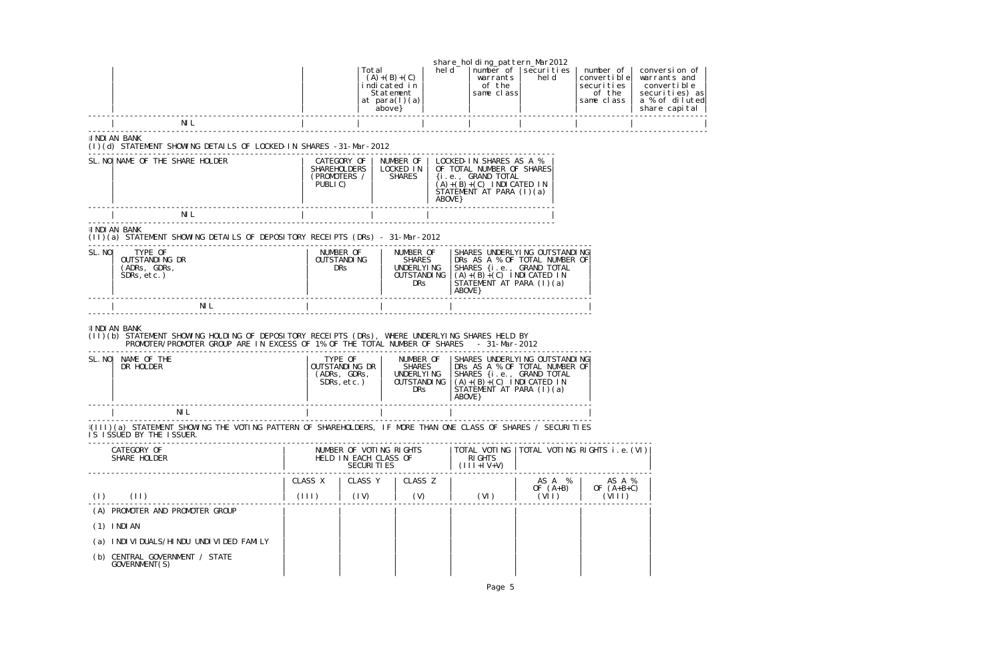|        |                                                                                                                                                                                                                                                         |         | Total                                                    | $(A) + (B) + (C)$<br>indicated in<br>Statement<br>at $para(I)(a)$<br>above } | hel d   | share_holding_pattern_Mar2012<br>warrants<br>of the<br>same class                                                                    | number of   securi ties<br>hel d                               | number of<br>convertible<br>securities<br>of the<br>same class | conversion of<br>warrants and<br>convertible<br>securities) as<br>a % of diluted<br>share capital |
|--------|---------------------------------------------------------------------------------------------------------------------------------------------------------------------------------------------------------------------------------------------------------|---------|----------------------------------------------------------|------------------------------------------------------------------------------|---------|--------------------------------------------------------------------------------------------------------------------------------------|----------------------------------------------------------------|----------------------------------------------------------------|---------------------------------------------------------------------------------------------------|
|        | NI L                                                                                                                                                                                                                                                    |         |                                                          |                                                                              |         |                                                                                                                                      |                                                                |                                                                |                                                                                                   |
|        | E NDI AN BANK<br>(I)(d) STATEMENT SHOWING DETAILS OF LOCKED-IN SHARES -31-Mar-2012                                                                                                                                                                      |         |                                                          |                                                                              |         |                                                                                                                                      |                                                                |                                                                |                                                                                                   |
|        | SL. NO   NAME OF THE SHARE HOLDER                                                                                                                                                                                                                       | PUBLIC) | CATEGORY OF<br><b>SHAREHOLDERS</b><br>(PROMOTERS /       | NUMBER OF<br>LOCKED IN<br><b>SHARES</b>                                      | ABOVE } | LOCKED-IN SHARES AS A %<br>OF TOTAL NUMBER OF SHARES<br>{i.e., GRAND TOTAL<br>$(A)+(B)+(C)$ INDICATED IN<br>STÁTEMENT AT PARA (I)(a) |                                                                |                                                                |                                                                                                   |
|        | NI L                                                                                                                                                                                                                                                    |         |                                                          |                                                                              |         |                                                                                                                                      |                                                                |                                                                |                                                                                                   |
|        | <b>A NDI AN BANK</b><br>(II)(a) STATEMENT SHOWING DETAILS OF DEPOSITORY RECEIPTS (DRs) - 31-Mar-2012                                                                                                                                                    |         |                                                          |                                                                              |         |                                                                                                                                      |                                                                |                                                                |                                                                                                   |
| SL. NO | TYPE OF<br>OUTSTANDING DR<br>(ADRs, GDRs,<br>$SDRs, etc.$ )                                                                                                                                                                                             |         | NUMBER OF<br><b>OUTSTANDING</b><br><b>DRS</b>            | NUMBER OF<br><b>SHARES</b><br>UNDERLYING<br><b>OUTSTANDING</b><br><b>DRS</b> |         | SHARES {i.e., GRAND TOTAL<br>$(A)+(B)+(C)$ INDICATED IN<br>STATEMENT AT PARA $(1)(a)$<br>ABOVE }                                     | SHARES UNDERLYING OUTSTANDING<br>DRS AS A % OF TOTAL NUMBER OF |                                                                |                                                                                                   |
|        | NI L                                                                                                                                                                                                                                                    |         |                                                          |                                                                              |         |                                                                                                                                      |                                                                |                                                                |                                                                                                   |
|        | <b>A NDI AN BANK</b><br>(II)(b) STATEMENT SHOWING HOLDING OF DEPOSITORY RECEIPTS (DRs), WHERE UNDERLYING SHARES HELD BY<br>PROMOTER/PROMOTER GROUP ARE IN EXCESS OF 1% OF THE TOTAL NUMBER OF SHARES - 31-Mar-2012<br>SL. NO   NAME OF THE<br>DR HOLDER |         | TYPE OF<br>OUTSTANDING DR<br>(ADRs, GDRs,<br>SDRs, etc.) | NUMBER OF<br><b>SHARES</b><br>UNDERLYI NG<br><b>OUTSTANDING</b>              |         | SHARES {i.e., GRAND TOTAL<br>$(A)+(B)+(C)$ INDICATED IN                                                                              | SHARES UNDERLYING OUTSTANDING<br>DRS AS A % OF TOTAL NUMBER OF |                                                                |                                                                                                   |
|        |                                                                                                                                                                                                                                                         |         |                                                          | <b>DRS</b>                                                                   |         | $\overrightarrow{STATEMENT}$ $\overrightarrow{AT}$ PARA $(1)(a)$<br>ABOVE }                                                          |                                                                |                                                                |                                                                                                   |
|        | NI L                                                                                                                                                                                                                                                    |         |                                                          |                                                                              |         |                                                                                                                                      |                                                                |                                                                |                                                                                                   |
|        | {(III)(a) STATEMENT SHOWING THE VOTING PATTERN OF SHAREHOLDERS, IF MORE THAN ONE CLASS OF SHARES / SECURITIES<br>IS ISSUED BY THE ISSUER.                                                                                                               |         |                                                          |                                                                              |         |                                                                                                                                      |                                                                |                                                                |                                                                                                   |
|        | CATEGORY OF<br>SHARE HOLDER                                                                                                                                                                                                                             |         | HELD IN EACH CLASS OF<br><b>SECURITIES</b>               | NUMBER OF VOTING RIGHTS                                                      |         | <b>RIGHTS</b><br>$(111+1V+V)$                                                                                                        |                                                                | TOTAL VOTING  TOTAL VOTING RIGHTS i.e. (VI)                    |                                                                                                   |
|        |                                                                                                                                                                                                                                                         | CLASS X |                                                          | CLASS Y   CLASS Z                                                            |         |                                                                                                                                      | AS A %<br>OF $(A+B)$                                           | AS A %<br>OF $(A+B+C)$                                         |                                                                                                   |
| (1)    | (11)                                                                                                                                                                                                                                                    | (111)   | (1V)                                                     | (V)                                                                          |         | (VI)                                                                                                                                 | (VII)                                                          | (VIII)                                                         |                                                                                                   |
|        | (A) PROMOTER AND PROMOTER GROUP                                                                                                                                                                                                                         |         |                                                          |                                                                              |         |                                                                                                                                      |                                                                |                                                                |                                                                                                   |
|        | $(1)$ INDIAN                                                                                                                                                                                                                                            |         |                                                          |                                                                              |         |                                                                                                                                      |                                                                |                                                                |                                                                                                   |
|        | (a) INDIVIDUALS/HINDU UNDIVIDED FAMILY                                                                                                                                                                                                                  |         |                                                          |                                                                              |         |                                                                                                                                      |                                                                |                                                                |                                                                                                   |
|        | (b) CENTRAL GOVERNMENT / STATE<br>GOVERNMENT(S)                                                                                                                                                                                                         |         |                                                          |                                                                              |         |                                                                                                                                      |                                                                |                                                                |                                                                                                   |
|        |                                                                                                                                                                                                                                                         |         |                                                          |                                                                              |         | Page 5                                                                                                                               |                                                                |                                                                |                                                                                                   |

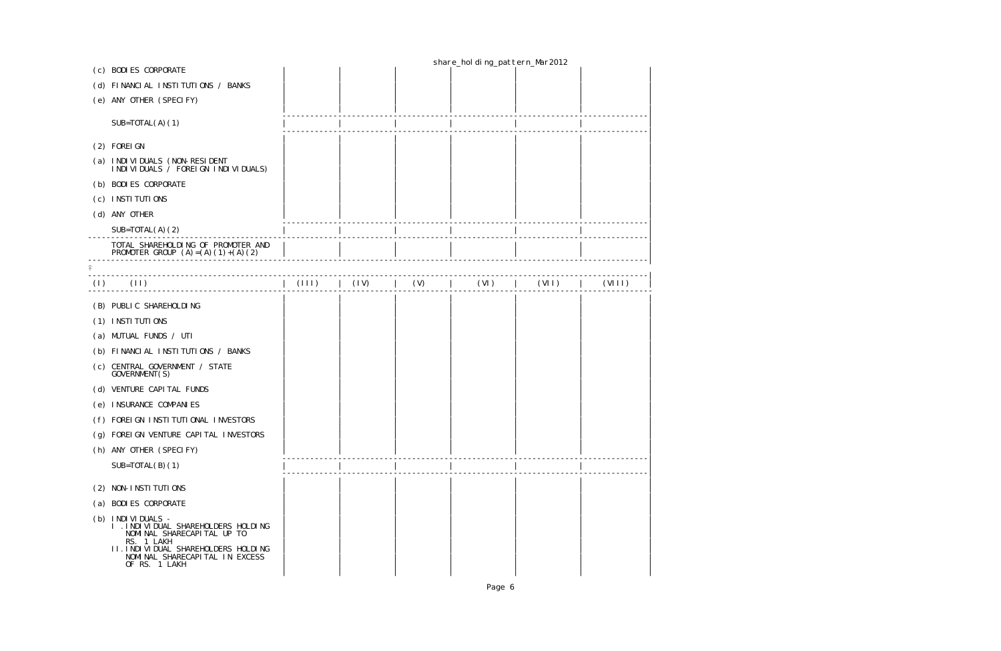|     |                                                                                                                                                                                                    |      |     | share_holding_pattern_Mar2012 |       |        |
|-----|----------------------------------------------------------------------------------------------------------------------------------------------------------------------------------------------------|------|-----|-------------------------------|-------|--------|
|     | (c) BODIES CORPORATE                                                                                                                                                                               |      |     |                               |       |        |
|     | (d) FINANCIAL INSTITUTIONS / BANKS                                                                                                                                                                 |      |     |                               |       |        |
|     | (e) ANY OTHER (SPECIFY)                                                                                                                                                                            |      |     |                               |       |        |
|     | $SUB=TOTAL(A) (1)$                                                                                                                                                                                 |      |     |                               |       |        |
|     | (2) FOREI GN                                                                                                                                                                                       |      |     |                               |       |        |
|     | (a) INDIVIDUALS (NON-RESIDENT<br>I NDI VI DUALS / FOREI GN I NDI VI DUALS)                                                                                                                         |      |     |                               |       |        |
|     | (b) BODIES CORPORATE                                                                                                                                                                               |      |     |                               |       |        |
|     | (c) INSTITUTIONS                                                                                                                                                                                   |      |     |                               |       |        |
|     | (d) ANY OTHER                                                                                                                                                                                      |      |     |                               |       |        |
|     | $SUB=TOTAL(A)(2)$                                                                                                                                                                                  |      |     |                               |       |        |
|     | TOTAL SHAREHOLDING OF PROMOTER AND<br>PROMOTER GROUP $(A) = (A) (1) + (A) (2)$                                                                                                                     |      |     |                               |       |        |
|     |                                                                                                                                                                                                    |      |     |                               |       |        |
| (1) | $\vert$ (111)<br>(11)                                                                                                                                                                              | (1V) | (V) | (VI)                          | (VII) | (VIII) |
|     | (B) PUBLIC SHAREHOLDING                                                                                                                                                                            |      |     |                               |       |        |
|     | (1) INSTITUTIONS                                                                                                                                                                                   |      |     |                               |       |        |
|     | (a) MUTUAL FUNDS / UTI                                                                                                                                                                             |      |     |                               |       |        |
|     | (b) FINANCIAL INSTITUTIONS / BANKS                                                                                                                                                                 |      |     |                               |       |        |
|     | (c) CENTRAL GOVERNMENT / STATE<br>GOVERNMENT(S)                                                                                                                                                    |      |     |                               |       |        |
|     | (d) VENTURE CAPITAL FUNDS                                                                                                                                                                          |      |     |                               |       |        |
|     | (e) INSURANCE COMPANIES                                                                                                                                                                            |      |     |                               |       |        |
|     | (f) FOREIGN INSTITUTIONAL INVESTORS                                                                                                                                                                |      |     |                               |       |        |
| (g) | FOREI GN VENTURE CAPI TAL INVESTORS                                                                                                                                                                |      |     |                               |       |        |
|     | (h) ANY OTHER (SPECIFY)                                                                                                                                                                            |      |     |                               |       |        |
|     | $SUB=TOTAL(B)(1)$                                                                                                                                                                                  |      |     |                               |       |        |
| (2) | NON-INSTITUTIONS                                                                                                                                                                                   |      |     |                               |       |        |
|     | (a) BODI ES CORPORATE                                                                                                                                                                              |      |     |                               |       |        |
|     | (b) INDIVIDUALS -<br>I . I NDI VI DUAL SHAREHOLDERS HOLDI NG<br>NOMINAL SHARECAPITAL UP TO<br>RS. 1 LAKH<br>II. INDIVIDUAL SHAREHOLDERS HOLDING<br>NOMINAL SHARECAPITAL IN EXCESS<br>OF RS. 1 LAKH |      |     |                               |       |        |
|     |                                                                                                                                                                                                    |      |     |                               |       |        |